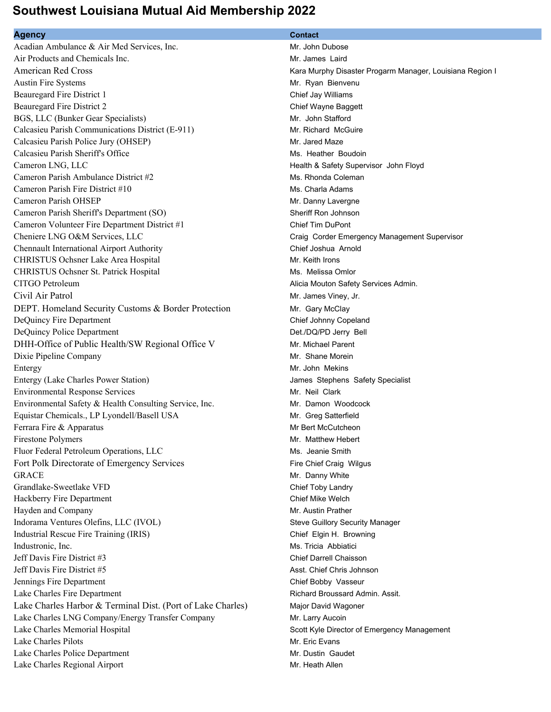## **Southwest Louisiana Mutual Aid Membership 2022**

## **Agency Contact**

Acadian Ambulance & Air Med Services, Inc. Mr. John Dubose Air Products and Chemicals Inc. **Mr. James Laird** Mr. James Laird American Red Cross **Kara Murphy Disaster Progarm Manager, Louisiana Region I** Austin Fire Systems **Mr. Ryan Bienvenu** Beauregard Fire District 1 Chief Jay Williams and Chief Jay Williams and Chief Jay Williams Beauregard Fire District 2 Chief Wayne Baggett BGS, LLC (Bunker Gear Specialists) Mr. John Stafford Calcasieu Parish Communications District (E-911) Mr. Richard McGuire Calcasieu Parish Police Jury (OHSEP) Mr. Jared Maze Calcasieu Parish Sheriff's Office **Ms. Heather Boudoin** Ms. Heather Boudoin Cameron LNG, LLC **Cameron Cameron LNG, LLC Cameron LNG, LLC Health & Safety Supervisor John Floyd** Cameron Parish Ambulance District #2 Ms. Rhonda Coleman Cameron Parish Fire District #10 Ms. Charla Adams Cameron Parish OHSEP Mr. Danny Lavergne Cameron Parish Sheriff's Department (SO) Sheriff Ron Johnson Cameron Volunteer Fire Department District #1 Chief Tim DuPont Cheniere LNG O&M Services, LLC Craig Corder Emergency Management Supervisor Chennault International Airport Authority Chief Joshua Arnold CHRISTUS Ochsner Lake Area Hospital Mr. Keith Irons CHRISTUS Ochsner St. Patrick Hospital Ms. Melissa Omlor CITGO Petroleum Alicia Mouton Safety Services Admin. Civil Air Patrol Mr. James Viney, Jr. DEPT. Homeland Security Customs & Border Protection Mr. Gary McClay DeQuincy Fire Department Chief Johnny Copeland DeQuincy Police Department Det./DQ/PD Jerry Bell DHH-Office of Public Health/SW Regional Office V Mr. Michael Parent Dixie Pipeline Company and the Company Mr. Shane Morein Entergy Mr. John Mekins Entergy (Lake Charles Power Station) James Stephens Safety Specialist Environmental Response Services and Architecture and Architecture Mr. Neil Clark Environmental Safety & Health Consulting Service, Inc. Mr. Damon Woodcock Equistar Chemicals., LP Lyondell/Basell USA Mr. Greg Satterfield Ferrara Fire & Apparatus **Mr Bert McCutcheon** Firestone Polymers **Mr. Matthew Hebert** Mr. Matthew Hebert Fluor Federal Petroleum Operations, LLC Ms. Jeanie Smith Fort Polk Directorate of Emergency Services Fire Chief Craig Wilgus GRACE **Mr.** Danny White Grandlake-Sweetlake VFD Chief Toby Landry Hackberry Fire Department **Chief Mike Welch** Chief Mike Welch Hayden and Company **Mr. Austin Prather** Mr. Austin Prather Indorama Ventures Olefins, LLC (IVOL) Steve Guillory Security Manager Industrial Rescue Fire Training (IRIS) Chief Elgin H. Browning Industronic, Inc. Ms. Tricia Abbiatici Jeff Davis Fire District #3 Chief Darrell Chaisson Jeff Davis Fire District #5 Asst. Chief Chris Johnson Jennings Fire Department Chief Bobby Vasseur Lake Charles Fire Department **Richard Broussard Admin. Assit. Richard Broussard Admin. Assit.** Lake Charles Harbor & Terminal Dist. (Port of Lake Charles) Major David Wagoner Lake Charles LNG Company/Energy Transfer Company Mr. Larry Aucoin Lake Charles Memorial Hospital **Scott Kyle Director of Emergency Management** Scott Kyle Director of Emergency Management Lake Charles Pilots **Mr.** Eric Evans Lake Charles Police Department Mr. Dustin Gaudet Lake Charles Regional Airport **Mr. Heath Allen** Mr. Heath Allen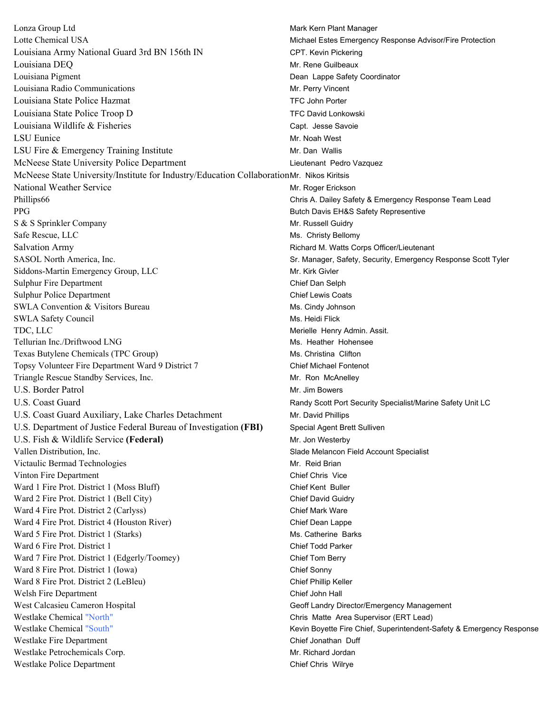Lonza Group Ltd **Mark Kern Plant Manager** Mark Kern Plant Manager Lotte Chemical USA Michael Estes Emergency Response Advisor/Fire Protection Louisiana Army National Guard 3rd BN 156th IN CPT. Kevin Pickering Louisiana DEQ Mr. Rene Guilbeaux Louisiana Pigment **Dean Lappe Safety Coordinator Dean Lappe Safety Coordinator** Louisiana Radio Communications Mr. Perry Vincent Louisiana State Police Hazmat TFC John Porter Louisiana State Police Troop D TFC David Lonkowski Louisiana Wildlife & Fisheries Capt. Jesse Savoie Capt. Jesse Savoie LSU Eunice Mr. Noah West LSU Fire & Emergency Training Institute Mr. Dan Wallis McNeese State University Police Department Lieutenant Pedro Vazquez McNeese State University/Institute for Industry/Education CollaborationMr. Nikos Kiritsis National Weather Service **Mr. Roger Erickson** Mr. Roger Erickson Phillips66 Chris A. Dailey Safety & Emergency Response Team Lead PPG Butch Davis EH&S Safety Representive S & S Sprinkler Company and Security and Security and Security Architecture Mr. Russell Guidry Safe Rescue, LLC Ms. Christy Bellomy Salvation Army Richard M. Watts Corps Officer/Lieutenant SASOL North America, Inc. Same Scott Tyler Safety, Security, Emergency Response Scott Tyler Siddons-Martin Emergency Group, LLC Mr. Kirk Givler Sulphur Fire Department **Chief Dan Selph** Chief Dan Selph Sulphur Police Department Chief Lewis Coats SWLA Convention & Visitors Bureau Ms. Cindy Johnson SWLA Safety Council **Ms. Heidi Flick** Ms. Heidi Flick TDC, LLC **TOP**, LLC **TOP**, LLC Tellurian Inc./Driftwood LNG Ms. Heather Hohensee Texas Butylene Chemicals (TPC Group) Ms. Christina Clifton Topsy Volunteer Fire Department Ward 9 District 7 Chief Michael Fontenot Triangle Rescue Standby Services, Inc. Mr. Ron McAnelley U.S. Border Patrol No. 1999 and Mr. Jim Bowers No. 1999 and Mr. Jim Bowers No. 1999 U.S. Coast Guard **Randy Scott Port Security Specialist/Marine Safety Unit LC** U.S. Coast Guard Auxiliary, Lake Charles Detachment Mr. David Phillips U.S. Department of Justice Federal Bureau of Investigation **(FBI)** Special Agent Brett Sulliven U.S. Fish & Wildlife Service (Federal) Mr. Jon Westerby Vallen Distribution, Inc. Slade Melancon Field Account Specialist Victaulic Bermad Technologies and the state of the Mr. Reid Brian Vinton Fire Department **Chief Chris** Vice Ward 1 Fire Prot. District 1 (Moss Bluff) Chief Kent Buller Ward 2 Fire Prot. District 1 (Bell City) Chief David Guidry Ward 4 Fire Prot. District 2 (Carlyss) Chief Mark Ware Ward 4 Fire Prot. District 4 (Houston River) Chief Dean Lappe Ward 5 Fire Prot. District 1 (Starks) Ms. Catherine Barks Ward 6 Fire Prot. District 1 Chief Todd Parker Ward 7 Fire Prot. District 1 (Edgerly/Toomey) Chief Tom Berry Ward 8 Fire Prot. District 1 (Iowa) Chief Sonny Ward 8 Fire Prot. District 2 (LeBleu) Chief Phillip Keller Welsh Fire Department Chief John Hall West Calcasieu Cameron Hospital **Georgia Cameron Constant Capela** Geoff Landry Director/Emergency Management Westlake Chemical "North" Chris Matte Area Supervisor (ERT Lead) Westlake Chemical "South" Newstake Chemical "South" Kevin Boyette Fire Chief, Superintendent-Safety & Emergency Response Westlake Fire Department Chief Jonathan Duff Chief Jonathan Duff Westlake Petrochemicals Corp. **Mr. Richard Jordan** Mr. Richard Jordan Westlake Police Department Chief Chris Wilrye Chief Chris Wilrye